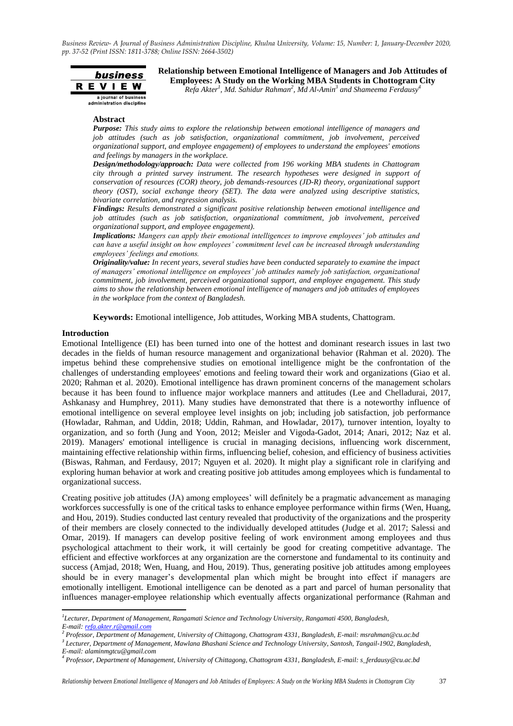

**Relationship between Emotional Intelligence of Managers and Job Attitudes of Employees: A Study on the Working MBA Students in Chottogram City** *Refa Akter 1 , Md. Sahidur Rahman<sup>2</sup> , Md Al-Amin<sup>3</sup> and Shameema Ferdausy<sup>4</sup>*

#### **Abstract**

*Purpose: This study aims to explore the relationship between emotional intelligence of managers and job attitudes (such as job satisfaction, organizational commitment, job involvement, perceived organizational support, and employee engagement) of employees to understand the employees' emotions and feelings by managers in the workplace.* 

*Design/methodology/approach: Data were collected from 196 working MBA students in Chattogram city through a printed survey instrument. The research hypotheses were designed in support of conservation of resources (COR) theory, job demands-resources (JD-R) theory, organizational support theory (OST), social exchange theory (SET). The data were analyzed using descriptive statistics, bivariate correlation, and regression analysis.*

*Findings: Results demonstrated a significant positive relationship between emotional intelligence and job attitudes (such as job satisfaction, organizational commitment, job involvement, perceived organizational support, and employee engagement).*

*Implications: Mangers can apply their emotional intelligences to improve employees' job attitudes and can have a useful insight on how employees' commitment level can be increased through understanding employees' feelings and emotions.*

*Originality/value: In recent years, several studies have been conducted separately to examine the impact of managers' emotional intelligence on employees' job attitudes namely job satisfaction, organizational commitment, job involvement, perceived organizational support, and employee engagement. This study aims to show the relationship between emotional intelligence of managers and job attitudes of employees in the workplace from the context of Bangladesh.* 

**Keywords:** Emotional intelligence, Job attitudes, Working MBA students, Chattogram.

## **Introduction**

1

Emotional Intelligence (EI) has been turned into one of the hottest and dominant research issues in last two decades in the fields of human resource management and organizational behavior (Rahman et al. 2020). The impetus behind these comprehensive studies on emotional intelligence might be the confrontation of the challenges of understanding employees' emotions and feeling toward their work and organizations (Giao et al. 2020; Rahman et al. 2020). Emotional intelligence has drawn prominent concerns of the management scholars because it has been found to influence major workplace manners and attitudes (Lee and Chelladurai, 2017, Ashkanasy and Humphrey, 2011). Many studies have demonstrated that there is a noteworthy influence of emotional intelligence on several employee level insights on job; including job satisfaction, job performance (Howladar, Rahman, and Uddin, 2018; Uddin, Rahman, and Howladar, 2017), turnover intention, loyalty to organization, and so forth (Jung and Yoon, 2012; Meisler and Vigoda-Gadot, 2014; Anari, 2012; Naz et al. 2019). Managers' emotional intelligence is crucial in managing decisions, influencing work discernment, maintaining effective relationship within firms, influencing belief, cohesion, and efficiency of business activities (Biswas, Rahman, and Ferdausy, 2017; Nguyen et al. 2020). It might play a significant role in clarifying and exploring human behavior at work and creating positive job attitudes among employees which is fundamental to organizational success.

Creating positive job attitudes (JA) among employees" will definitely be a pragmatic advancement as managing workforces successfully is one of the critical tasks to enhance employee performance within firms (Wen, Huang, and Hou, 2019). Studies conducted last century revealed that productivity of the organizations and the prosperity of their members are closely connected to the individually developed attitudes (Judge et al. 2017; Salessi and Omar, 2019). If managers can develop positive feeling of work environment among employees and thus psychological attachment to their work, it will certainly be good for creating competitive advantage. The efficient and effective workforces at any organization are the cornerstone and fundamental to its continuity and success (Amjad, 2018; Wen, Huang, and Hou, 2019). Thus, generating positive job attitudes among employees should be in every manager"s developmental plan which might be brought into effect if managers are emotionally intelligent. Emotional intelligence can be denoted as a part and parcel of human personality that influences manager-employee relationship which eventually affects organizational performance (Rahman and

*<sup>1</sup> Lecturer, Department of Management, Rangamati Science and Technology University, Rangamati 4500, Bangladesh, E-mail[: refa.akter.r@gmail.com](mailto:refa.akter.r@gmail.com)*

*<sup>2</sup> Professor, Department of Management, University of Chittagong, Chattogram 4331, Bangladesh, E-mail: msrahman@cu.ac.bd 3 Lecturer, Department of Management, Mawlana Bhashani Science and Technology University, Santosh, Tangail-1902, Bangladesh,*

*E-mail: alaminmgtcu@gmail.com*

*<sup>4</sup> Professor, Department of Management, University of Chittagong, Chattogram 4331, Bangladesh, E-mail: s\_ferdausy@cu.ac.bd*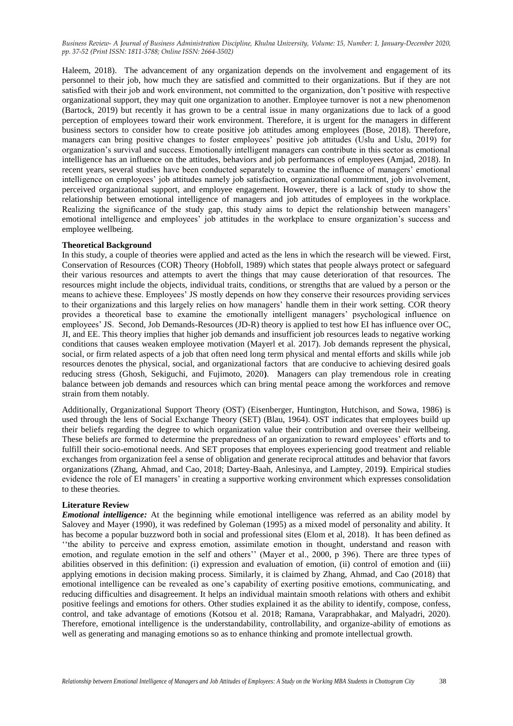Haleem, 2018). The advancement of any organization depends on the involvement and engagement of its personnel to their job, how much they are satisfied and committed to their organizations. But if they are not satisfied with their job and work environment, not committed to the organization, don"t positive with respective organizational support, they may quit one organization to another. Employee turnover is not a new phenomenon (Bartock, 2019) but recently it has grown to be a central issue in many organizations due to lack of a good perception of employees toward their work environment. Therefore, it is urgent for the managers in different business sectors to consider how to create positive job attitudes among employees (Bose, 2018). Therefore, managers can bring positive changes to foster employees" positive job attitudes (Uslu and Uslu, 2019) for organization"s survival and success. Emotionally intelligent managers can contribute in this sector as emotional intelligence has an influence on the attitudes, behaviors and job performances of employees (Amjad, 2018). In recent years, several studies have been conducted separately to examine the influence of managers" emotional intelligence on employees" job attitudes namely job satisfaction, organizational commitment, job involvement, perceived organizational support, and employee engagement. However, there is a lack of study to show the relationship between emotional intelligence of managers and job attitudes of employees in the workplace. Realizing the significance of the study gap, this study aims to depict the relationship between managers' emotional intelligence and employees" job attitudes in the workplace to ensure organization"s success and employee wellbeing.

### **Theoretical Background**

In this study, a couple of theories were applied and acted as the lens in which the research will be viewed. First, Conservation of Resources (COR) Theory (Hobfoll, 1989) which states that people always protect or safeguard their various resources and attempts to avert the things that may cause deterioration of that resources. The resources might include the objects, individual traits, conditions, or strengths that are valued by a person or the means to achieve these. Employees" JS mostly depends on how they conserve their resources providing services to their organizations and this largely relies on how managers" handle them in their work setting. COR theory provides a theoretical base to examine the emotionally intelligent managers" psychological influence on employees" JS. Second, Job Demands-Resources (JD-R) theory is applied to test how EI has influence over OC, JI, and EE. This theory implies that higher job demands and insufficient job resources leads to negative working conditions that causes weaken employee motivation (Mayerl et al. 2017). Job demands represent the physical, social, or firm related aspects of a job that often need long term physical and mental efforts and skills while job resources denotes the physical, social, and organizational factors that are conducive to achieving desired goals reducing stress (Ghosh, Sekiguchi, and Fujimoto, 2020**)**. Managers can play tremendous role in creating balance between job demands and resources which can bring mental peace among the workforces and remove strain from them notably.

Additionally, Organizational Support Theory (OST) (Eisenberger, Huntington, Hutchison, and Sowa, 1986) is used through the lens of Social Exchange Theory (SET) (Blau, 1964). OST indicates that employees build up their beliefs regarding the degree to which organization value their contribution and oversee their wellbeing. These beliefs are formed to determine the preparedness of an organization to reward employees" efforts and to fulfill their socio-emotional needs. And SET proposes that employees experiencing good treatment and reliable exchanges from organization feel a sense of obligation and generate reciprocal attitudes and behavior that favors organizations (Zhang, Ahmad, and Cao, 2018; Dartey-Baah, Anlesinya, and Lamptey, 2019**)**. Empirical studies evidence the role of EI managers" in creating a supportive working environment which expresses consolidation to these theories.

#### **Literature Review**

*Emotional intelligence:* At the beginning while emotional intelligence was referred as an ability model by Salovey and Mayer (1990), it was redefined by Goleman (1995) as a mixed model of personality and ability. It has become a popular buzzword both in social and professional sites (Elom et al, 2018). It has been defined as ""the ability to perceive and express emotion, assimilate emotion in thought, understand and reason with emotion, and regulate emotion in the self and others"" (Mayer et al., 2000, p 396). There are three types of abilities observed in this definition: (i) expression and evaluation of emotion, (ii) control of emotion and (iii) applying emotions in decision making process. Similarly, it is claimed by Zhang, Ahmad, and Cao (2018) that emotional intelligence can be revealed as one"s capability of exerting positive emotions, communicating, and reducing difficulties and disagreement. It helps an individual maintain smooth relations with others and exhibit positive feelings and emotions for others. Other studies explained it as the ability to identify, compose, confess, control, and take advantage of emotions (Kotsou et al. 2018; Ramana, Varaprabhakar, and Malyadri, 2020). Therefore, emotional intelligence is the understandability, controllability, and organize-ability of emotions as well as generating and managing emotions so as to enhance thinking and promote intellectual growth.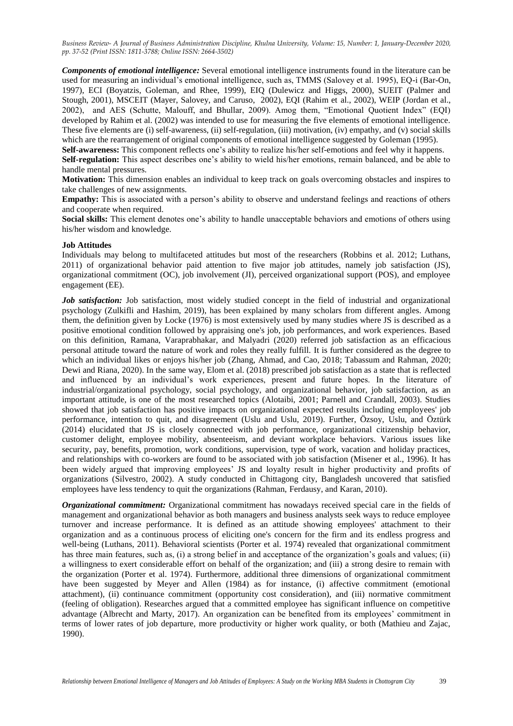*Components of emotional intelligence:* Several emotional intelligence instruments found in the literature can be used for measuring an individual"s emotional intelligence, such as, TMMS (Salovey et al. 1995), EQ-i (Bar-On, 1997), ECI (Boyatzis, Goleman, and Rhee, 1999), EIQ (Dulewicz and Higgs, 2000), SUEIT (Palmer and Stough, 2001), MSCEIT (Mayer, Salovey, and Caruso, 2002), EQI (Rahim et al., 2002), WEIP (Jordan et al., 2002), and AES (Schutte, Malouff, and Bhullar, 2009). Amog them, "Emotional Quotient Index" (EQI) developed by Rahim et al. (2002) was intended to use for measuring the five elements of emotional intelligence. These five elements are (i) self-awareness, (ii) self-regulation, (iii) motivation, (iv) empathy, and (v) social skills which are the rearrangement of original components of emotional intelligence suggested by Goleman (1995). **Self-awareness:** This component reflects one's ability to realize his/her self-emotions and feel why it happens.

**Self-regulation:** This aspect describes one's ability to wield his/her emotions, remain balanced, and be able to handle mental pressures.

**Motivation:** This dimension enables an individual to keep track on goals overcoming obstacles and inspires to take challenges of new assignments.

Empathy: This is associated with a person's ability to observe and understand feelings and reactions of others and cooperate when required.

**Social skills:** This element denotes one"s ability to handle unacceptable behaviors and emotions of others using his/her wisdom and knowledge.

## **Job Attitudes**

Individuals may belong to multifaceted attitudes but most of the researchers (Robbins et al. 2012; Luthans, 2011) of organizational behavior paid attention to five major job attitudes, namely job satisfaction (JS), organizational commitment (OC), job involvement (JI), perceived organizational support (POS), and employee engagement (EE).

*Job satisfaction:* Job satisfaction, most widely studied concept in the field of industrial and organizational psychology (Zulkifli and Hashim, 2019), has been explained by many scholars from different angles. Among them, the definition given by Locke (1976) is most extensively used by many studies where JS is described as a positive emotional condition followed by appraising one's job, job performances, and work experiences. Based on this definition, Ramana, Varaprabhakar, and Malyadri (2020) referred job satisfaction as an efficacious personal attitude toward the nature of work and roles they really fulfill. It is further considered as the degree to which an individual likes or enjoys his/her job (Zhang, Ahmad, and Cao, 2018; Tabassum and Rahman, 2020; Dewi and Riana, 2020). In the same way, Elom et al. (2018) prescribed job satisfaction as a state that is reflected and influenced by an individual"s work experiences, present and future hopes. In the literature of industrial/organizational psychology, social psychology, and organizational behavior, job satisfaction, as an important attitude, is one of the most researched topics (Alotaibi, 2001; Parnell and Crandall, 2003). Studies showed that job satisfaction has positive impacts on organizational expected results including employees' job performance, intention to quit, and disagreement (Uslu and Uslu, 2019). Further, Özsoy, Uslu, and Öztürk (2014) elucidated that JS is closely connected with job performance, organizational citizenship behavior, customer delight, employee mobility, absenteeism, and deviant workplace behaviors. Various issues like security, pay, benefits, promotion, work conditions, supervision, type of work, vacation and holiday practices, and relationships with co-workers are found to be associated with job satisfaction (Misener et al., 1996). It has been widely argued that improving employees" JS and loyalty result in higher productivity and profits of organizations (Silvestro, 2002). A study conducted in Chittagong city, Bangladesh uncovered that satisfied employees have less tendency to quit the organizations (Rahman, Ferdausy, and Karan, 2010).

*Organizational commitment:* Organizational commitment has nowadays received special care in the fields of management and organizational behavior as both managers and business analysts seek ways to reduce employee turnover and increase performance. It is defined as an attitude showing employees' attachment to their organization and as a continuous process of eliciting one's concern for the firm and its endless progress and well-being (Luthans, 2011). Behavioral scientists (Porter et al. 1974) revealed that organizational commitment has three main features, such as, (i) a strong belief in and acceptance of the organization's goals and values; (ii) a willingness to exert considerable effort on behalf of the organization; and (iii) a strong desire to remain with the organization (Porter et al. 1974). Furthermore, additional three dimensions of organizational commitment have been suggested by Meyer and Allen (1984) as for instance, (i) affective commitment (emotional attachment), (ii) continuance commitment (opportunity cost consideration), and (iii) normative commitment (feeling of obligation). Researches argued that a committed employee has significant influence on competitive advantage (Albrecht and Marty, 2017). An organization can be benefited from its employees" commitment in terms of lower rates of job departure, more productivity or higher work quality, or both (Mathieu and Zajac, 1990).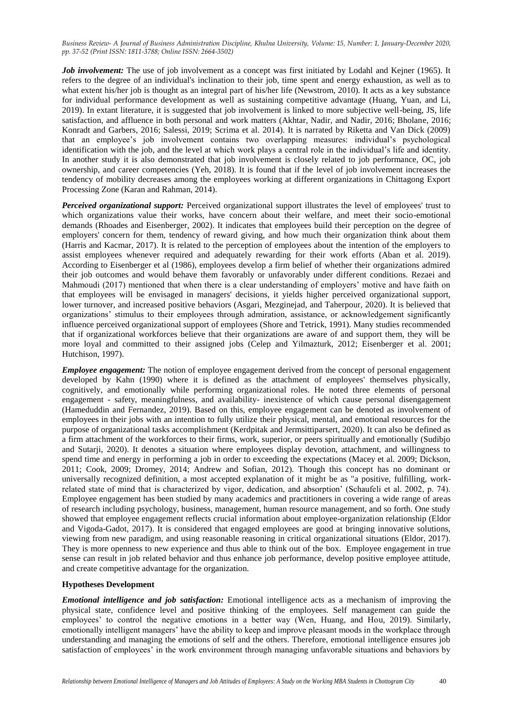*Job involvement:* The use of job involvement as a concept was first initiated by Lodahl and Kejner (1965). It refers to the degree of an individual's inclination to their job, time spent and energy exhaustion, as well as to what extent his/her job is thought as an integral part of his/her life (Newstrom, 2010). It acts as a key substance for individual performance development as well as sustaining competitive advantage (Huang, Yuan, and Li, 2019). In extant literature, it is suggested that job involvement is linked to more subjective well-being, JS, life satisfaction, and affluence in both personal and work matters (Akhtar, Nadir, and Nadir, 2016; Bholane, 2016; Konradt and Garbers, 2016; Salessi, 2019; Scrima et al. 2014). It is narrated by Riketta and Van Dick (2009) that an employee"s job involvement contains two overlapping measures: individual"s psychological identification with the job, and the level at which work plays a central role in the individual"s life and identity. In another study it is also demonstrated that job involvement is closely related to job performance, OC, job ownership, and career competencies (Yeh, 2018). It is found that if the level of job involvement increases the tendency of mobility decreases among the employees working at different organizations in Chittagong Export Processing Zone (Karan and Rahman, 2014).

*Perceived organizational support:* Perceived organizational support illustrates the level of employees' trust to which organizations value their works, have concern about their welfare, and meet their socio-emotional demands (Rhoades and Eisenberger, 2002). It indicates that employees build their perception on the degree of employers' concern for them, tendency of reward giving, and how much their organization think about them (Harris and Kacmar, 2017). It is related to the perception of employees about the intention of the employers to assist employees whenever required and adequately rewarding for their work efforts (Aban et al. 2019). According to Eisenberger et al (1986), employees develop a firm belief of whether their organizations admired their job outcomes and would behave them favorably or unfavorably under different conditions. Rezaei and Mahmoudi (2017) mentioned that when there is a clear understanding of employers' motive and have faith on that employees will be envisaged in managers' decisions, it yields higher perceived organizational support, lower turnover, and increased positive behaviors (Asgari, Mezginejad, and Taherpour, 2020). It is believed that organizations" stimulus to their employees through admiration, assistance, or acknowledgement significantly influence perceived organizational support of employees (Shore and Tetrick, 1991). Many studies recommended that if organizational workforces believe that their organizations are aware of and support them, they will be more loyal and committed to their assigned jobs (Celep and Yilmazturk, 2012; Eisenberger et al. 2001; Hutchison, 1997).

*Employee engagement:* The notion of employee engagement derived from the concept of personal engagement developed by Kahn (1990) where it is defined as the attachment of employees' themselves physically, cognitively, and emotionally while performing organizational roles. He noted three elements of personal engagement - safety, meaningfulness, and availability- inexistence of which cause personal disengagement (Hameduddin and Fernandez, 2019). Based on this, employee engagement can be denoted as involvement of employees in their jobs with an intention to fully utilize their physical, mental, and emotional resources for the purpose of organizational tasks accomplishment (Kerdpitak and Jermsittiparsert, 2020). It can also be defined as a firm attachment of the workforces to their firms, work, superior, or peers spiritually and emotionally (Sudibjo and Sutarji, 2020). It denotes a situation where employees display devotion, attachment, and willingness to spend time and energy in performing a job in order to exceeding the expectations (Macey et al. 2009; Dickson, 2011; Cook, 2009; Dromey, 2014; Andrew and Sofian, 2012). Though this concept has no dominant or universally recognized definition, a most accepted explanation of it might be as "a positive, fulfilling, workrelated state of mind that is characterized by vigor, dedication, and absorption" (Schaufeli et al. 2002, p. 74). Employee engagement has been studied by many academics and practitioners in covering a wide range of areas of research including psychology, business, management, human resource management, and so forth. One study showed that employee engagement reflects crucial information about employee-organization relationship (Eldor and Vigoda-Gadot, 2017). It is considered that engaged employees are good at bringing innovative solutions, viewing from new paradigm, and using reasonable reasoning in critical organizational situations (Eldor, 2017). They is more openness to new experience and thus able to think out of the box. Employee engagement in true sense can result in job related behavior and thus enhance job performance, develop positive employee attitude, and create competitive advantage for the organization.

# **Hypotheses Development**

*Emotional intelligence and job satisfaction:* Emotional intelligence acts as a mechanism of improving the physical state, confidence level and positive thinking of the employees. Self management can guide the employees" to control the negative emotions in a better way (Wen, Huang, and Hou, 2019). Similarly, emotionally intelligent managers" have the ability to keep and improve pleasant moods in the workplace through understanding and managing the emotions of self and the others. Therefore, emotional intelligence ensures job satisfaction of employees' in the work environment through managing unfavorable situations and behaviors by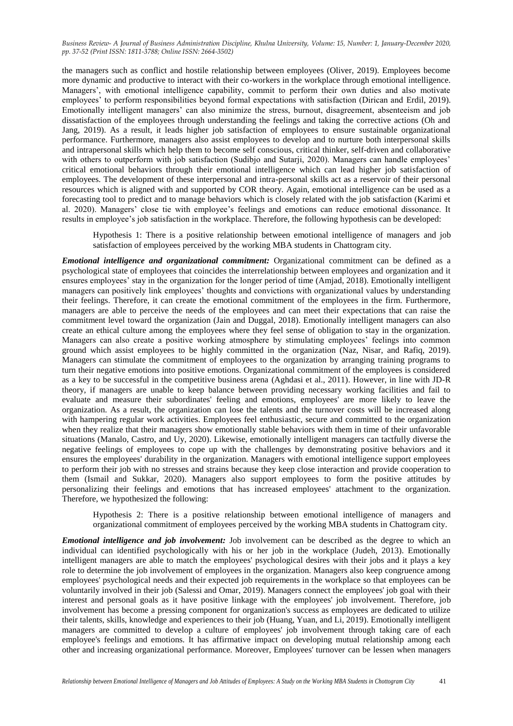the managers such as conflict and hostile relationship between employees (Oliver, 2019). Employees become more dynamic and productive to interact with their co-workers in the workplace through emotional intelligence. Managers", with emotional intelligence capability, commit to perform their own duties and also motivate employees' to perform responsibilities beyond formal expectations with satisfaction (Dirican and Erdil, 2019). Emotionally intelligent managers" can also minimize the stress, burnout, disagreement, absenteeism and job dissatisfaction of the employees through understanding the feelings and taking the corrective actions (Oh and Jang, 2019). As a result, it leads higher job satisfaction of employees to ensure sustainable organizational performance. Furthermore, managers also assist employees to develop and to nurture both interpersonal skills and intrapersonal skills which help them to become self conscious, critical thinker, self-driven and collaborative with others to outperform with job satisfaction (Sudibio and Sutarii, 2020). Managers can handle employees' critical emotional behaviors through their emotional intelligence which can lead higher job satisfaction of employees. The development of these interpersonal and intra-personal skills act as a reservoir of their personal resources which is aligned with and supported by COR theory. Again, emotional intelligence can be used as a forecasting tool to predict and to manage behaviors which is closely related with the job satisfaction (Karimi et al. 2020). Managers" close tie with employee"s feelings and emotions can reduce emotional dissonance. It results in employee"s job satisfaction in the workplace. Therefore, the following hypothesis can be developed:

Hypothesis 1: There is a positive relationship between emotional intelligence of managers and job satisfaction of employees perceived by the working MBA students in Chattogram city.

*Emotional intelligence and organizational commitment:* Organizational commitment can be defined as a psychological state of employees that coincides the interrelationship between employees and organization and it ensures employees" stay in the organization for the longer period of time (Amjad, 2018). Emotionally intelligent managers can positively link employees" thoughts and convictions with organizational values by understanding their feelings. Therefore, it can create the emotional commitment of the employees in the firm. Furthermore, managers are able to perceive the needs of the employees and can meet their expectations that can raise the commitment level toward the organization (Jain and Duggal, 2018). Emotionally intelligent managers can also create an ethical culture among the employees where they feel sense of obligation to stay in the organization. Managers can also create a positive working atmosphere by stimulating employees' feelings into common ground which assist employees to be highly committed in the organization (Naz, Nisar, and Rafiq, 2019). Managers can stimulate the commitment of employees to the organization by arranging training programs to turn their negative emotions into positive emotions. Organizational commitment of the employees is considered as a key to be successful in the competitive business arena (Aghdasi et al., 2011). However, in line with JD-R theory, if managers are unable to keep balance between providing necessary working facilities and fail to evaluate and measure their subordinates' feeling and emotions, employees' are more likely to leave the organization. As a result, the organization can lose the talents and the turnover costs will be increased along with hampering regular work activities. Employees feel enthusiastic, secure and committed to the organization when they realize that their managers show emotionally stable behaviors with them in time of their unfavorable situations (Manalo, Castro, and Uy, 2020). Likewise, emotionally intelligent managers can tactfully diverse the negative feelings of employees to cope up with the challenges by demonstrating positive behaviors and it ensures the employees' durability in the organization. Managers with emotional intelligence support employees to perform their job with no stresses and strains because they keep close interaction and provide cooperation to them (Ismail and Sukkar, 2020). Managers also support employees to form the positive attitudes by personalizing their feelings and emotions that has increased employees' attachment to the organization. Therefore, we hypothesized the following:

Hypothesis 2: There is a positive relationship between emotional intelligence of managers and organizational commitment of employees perceived by the working MBA students in Chattogram city.

*Emotional intelligence and job involvement:* Job involvement can be described as the degree to which an individual can identified psychologically with his or her job in the workplace (Judeh, 2013). Emotionally intelligent managers are able to match the employees' psychological desires with their jobs and it plays a key role to determine the job involvement of employees in the organization. Managers also keep congruence among employees' psychological needs and their expected job requirements in the workplace so that employees can be voluntarily involved in their job (Salessi and Omar, 2019). Managers connect the employees' job goal with their interest and personal goals as it have positive linkage with the employees' job involvement. Therefore, job involvement has become a pressing component for organization's success as employees are dedicated to utilize their talents, skills, knowledge and experiences to their job (Huang, Yuan, and Li, 2019). Emotionally intelligent managers are committed to develop a culture of employees' job involvement through taking care of each employee's feelings and emotions. It has affirmative impact on developing mutual relationship among each other and increasing organizational performance. Moreover, Employees' turnover can be lessen when managers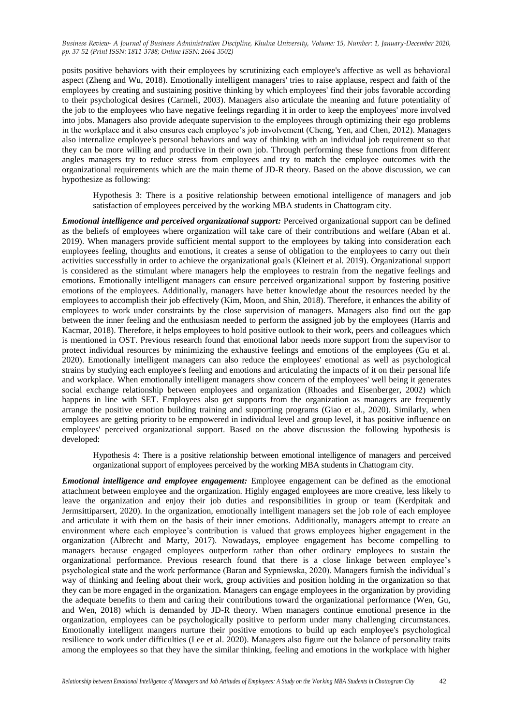posits positive behaviors with their employees by scrutinizing each employee's affective as well as behavioral aspect (Zheng and Wu, 2018). Emotionally intelligent managers' tries to raise applause, respect and faith of the employees by creating and sustaining positive thinking by which employees' find their jobs favorable according to their psychological desires (Carmeli, 2003). Managers also articulate the meaning and future potentiality of the job to the employees who have negative feelings regarding it in order to keep the employees' more involved into jobs. Managers also provide adequate supervision to the employees through optimizing their ego problems in the workplace and it also ensures each employee"s job involvement (Cheng, Yen, and Chen, 2012). Managers also internalize employee's personal behaviors and way of thinking with an individual job requirement so that they can be more willing and productive in their own job. Through performing these functions from different angles managers try to reduce stress from employees and try to match the employee outcomes with the organizational requirements which are the main theme of JD-R theory. Based on the above discussion, we can hypothesize as following:

Hypothesis 3: There is a positive relationship between emotional intelligence of managers and job satisfaction of employees perceived by the working MBA students in Chattogram city.

*Emotional intelligence and perceived organizational support:* Perceived organizational support can be defined as the beliefs of employees where organization will take care of their contributions and welfare (Aban et al. 2019). When managers provide sufficient mental support to the employees by taking into consideration each employees feeling, thoughts and emotions, it creates a sense of obligation to the employees to carry out their activities successfully in order to achieve the organizational goals (Kleinert et al. 2019). Organizational support is considered as the stimulant where managers help the employees to restrain from the negative feelings and emotions. Emotionally intelligent managers can ensure perceived organizational support by fostering positive emotions of the employees. Additionally, managers have better knowledge about the resources needed by the employees to accomplish their job effectively (Kim, Moon, and Shin, 2018). Therefore, it enhances the ability of employees to work under constraints by the close supervision of managers. Managers also find out the gap between the inner feeling and the enthusiasm needed to perform the assigned job by the employees (Harris and Kacmar, 2018). Therefore, it helps employees to hold positive outlook to their work, peers and colleagues which is mentioned in OST. Previous research found that emotional labor needs more support from the supervisor to protect individual resources by minimizing the exhaustive feelings and emotions of the employees (Gu et al. 2020). Emotionally intelligent managers can also reduce the employees' emotional as well as psychological strains by studying each employee's feeling and emotions and articulating the impacts of it on their personal life and workplace. When emotionally intelligent managers show concern of the employees' well being it generates social exchange relationship between employees and organization (Rhoades and Eisenberger, 2002) which happens in line with SET. Employees also get supports from the organization as managers are frequently arrange the positive emotion building training and supporting programs (Giao et al., 2020). Similarly, when employees are getting priority to be empowered in individual level and group level, it has positive influence on employees' perceived organizational support. Based on the above discussion the following hypothesis is developed:

Hypothesis 4: There is a positive relationship between emotional intelligence of managers and perceived organizational support of employees perceived by the working MBA students in Chattogram city.

*Emotional intelligence and employee engagement:* Employee engagement can be defined as the emotional attachment between employee and the organization. Highly engaged employees are more creative, less likely to leave the organization and enjoy their job duties and responsibilities in group or team (Kerdpitak and Jermsittiparsert, 2020). In the organization, emotionally intelligent managers set the job role of each employee and articulate it with them on the basis of their inner emotions. Additionally, managers attempt to create an environment where each employee"s contribution is valued that grows employees higher engagement in the organization (Albrecht and Marty, 2017). Nowadays, employee engagement has become compelling to managers because engaged employees outperform rather than other ordinary employees to sustain the organizational performance. Previous research found that there is a close linkage between employee"s psychological state and the work performance (Baran and Sypniewska, 2020). Managers furnish the individual"s way of thinking and feeling about their work, group activities and position holding in the organization so that they can be more engaged in the organization. Managers can engage employees in the organization by providing the adequate benefits to them and caring their contributions toward the organizational performance (Wen, Gu, and Wen, 2018) which is demanded by JD-R theory. When managers continue emotional presence in the organization, employees can be psychologically positive to perform under many challenging circumstances. Emotionally intelligent mangers nurture their positive emotions to build up each employee's psychological resilience to work under difficulties (Lee et al. 2020). Managers also figure out the balance of personality traits among the employees so that they have the similar thinking, feeling and emotions in the workplace with higher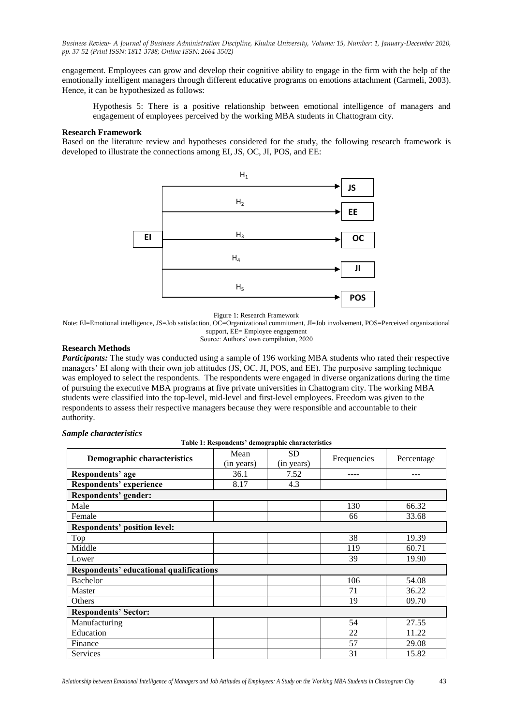engagement. Employees can grow and develop their cognitive ability to engage in the firm with the help of the emotionally intelligent managers through different educative programs on emotions attachment (Carmeli, 2003). Hence, it can be hypothesized as follows:

Hypothesis 5: There is a positive relationship between emotional intelligence of managers and engagement of employees perceived by the working MBA students in Chattogram city.

# **Research Framework**

Based on the literature review and hypotheses considered for the study, the following research framework is developed to illustrate the connections among EI, JS, OC, JI, POS, and EE:



Figure 1: Research Framework

Note: EI=Emotional intelligence, JS=Job satisfaction, OC=Organizational commitment, JI=Job involvement, POS=Perceived organizational support, EE= Employee engagement

Source: Authors' own compilation, 2020

# **Research Methods**

*Participants:* The study was conducted using a sample of 196 working MBA students who rated their respective managers" EI along with their own job attitudes (JS, OC, JI, POS, and EE). The purposive sampling technique was employed to select the respondents. The respondents were engaged in diverse organizations during the time of pursuing the executive MBA programs at five private universities in Chattogram city. The working MBA students were classified into the top-level, mid-level and first-level employees. Freedom was given to the respondents to assess their respective managers because they were responsible and accountable to their authority.

# *Sample characteristics*

**Table 1: Respondents' demographic characteristics**

| Demographic characteristics                    | Mean<br>(in years) | <b>SD</b><br>(in years) | Frequencies | Percentage |  |  |
|------------------------------------------------|--------------------|-------------------------|-------------|------------|--|--|
| Respondents' age                               | 36.1               | 7.52                    | ----        | ---        |  |  |
| Respondents' experience                        | 8.17               | 4.3                     |             |            |  |  |
| Respondents' gender:                           |                    |                         |             |            |  |  |
| Male                                           |                    |                         | 130         | 66.32      |  |  |
| Female                                         |                    |                         | 66          | 33.68      |  |  |
| <b>Respondents' position level:</b>            |                    |                         |             |            |  |  |
| Top                                            |                    |                         | 38          | 19.39      |  |  |
| Middle                                         |                    |                         | 119         | 60.71      |  |  |
| Lower                                          |                    |                         | 39          | 19.90      |  |  |
| <b>Respondents' educational qualifications</b> |                    |                         |             |            |  |  |
| Bachelor                                       |                    |                         | 106         | 54.08      |  |  |
| Master                                         |                    |                         | 71          | 36.22      |  |  |
| Others                                         |                    |                         | 19          | 09.70      |  |  |
| <b>Respondents' Sector:</b>                    |                    |                         |             |            |  |  |
| Manufacturing                                  |                    |                         | 54          | 27.55      |  |  |
| Education                                      |                    |                         | 22          | 11.22      |  |  |
| Finance                                        |                    |                         | 57          | 29.08      |  |  |
| <b>Services</b>                                |                    |                         | 31          | 15.82      |  |  |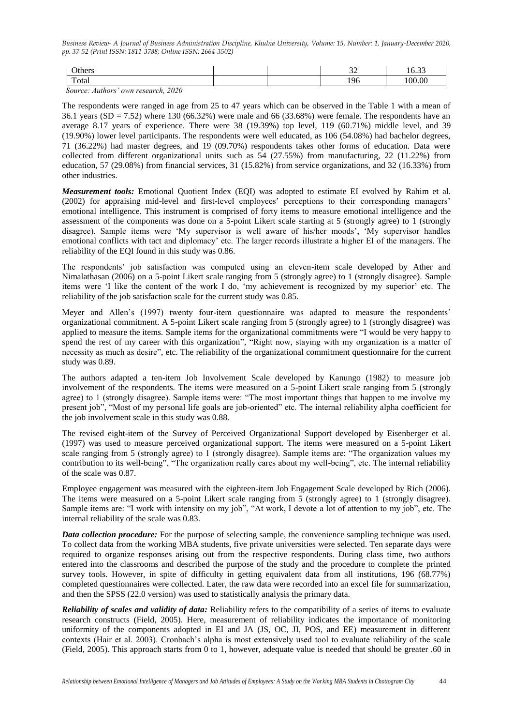| <b>Others</b> | $\sim$<br>ັ້ | $\sim$ 00<br>10.JJ |
|---------------|--------------|--------------------|
| Total         | 196          | 00.00              |

 *Source: Authors' own research, 2020*

The respondents were ranged in age from 25 to 47 years which can be observed in the Table 1 with a mean of 36.1 years  $(SD = 7.52)$  where 130 (66.32%) were male and 66 (33.68%) were female. The respondents have an average 8.17 years of experience. There were 38 (19.39%) top level, 119 (60.71%) middle level, and 39 (19.90%) lower level participants. The respondents were well educated, as 106 (54.08%) had bachelor degrees, 71 (36.22%) had master degrees, and 19 (09.70%) respondents takes other forms of education. Data were collected from different organizational units such as 54 (27.55%) from manufacturing, 22 (11.22%) from education, 57 (29.08%) from financial services, 31 (15.82%) from service organizations, and 32 (16.33%) from other industries.

*Measurement tools:* Emotional Quotient Index (EQI) was adopted to estimate EI evolved by Rahim et al. (2002) for appraising mid-level and first-level employees" perceptions to their corresponding managers" emotional intelligence. This instrument is comprised of forty items to measure emotional intelligence and the assessment of the components was done on a 5-point Likert scale starting at 5 (strongly agree) to 1 (strongly disagree). Sample items were "My supervisor is well aware of his/her moods", "My supervisor handles emotional conflicts with tact and diplomacy" etc. The larger records illustrate a higher EI of the managers. The reliability of the EQI found in this study was 0.86.

The respondents" job satisfaction was computed using an eleven-item scale developed by Ather and Nimalathasan (2006) on a 5-point Likert scale ranging from 5 (strongly agree) to 1 (strongly disagree). Sample items were "I like the content of the work I do, "my achievement is recognized by my superior" etc. The reliability of the job satisfaction scale for the current study was 0.85.

Meyer and Allen's (1997) twenty four-item questionnaire was adapted to measure the respondents' organizational commitment. A 5-point Likert scale ranging from 5 (strongly agree) to 1 (strongly disagree) was applied to measure the items. Sample items for the organizational commitments were "I would be very happy to spend the rest of my career with this organization", "Right now, staying with my organization is a matter of necessity as much as desire", etc. The reliability of the organizational commitment questionnaire for the current study was 0.89.

The authors adapted a ten-item Job Involvement Scale developed by Kanungo (1982) to measure job involvement of the respondents. The items were measured on a 5-point Likert scale ranging from 5 (strongly agree) to 1 (strongly disagree). Sample items were: "The most important things that happen to me involve my present job", "Most of my personal life goals are job-oriented" etc. The internal reliability alpha coefficient for the job involvement scale in this study was 0.88.

The revised eight-item of the Survey of Perceived Organizational Support developed by Eisenberger et al. (1997) was used to measure perceived organizational support. The items were measured on a 5-point Likert scale ranging from 5 (strongly agree) to 1 (strongly disagree). Sample items are: "The organization values my contribution to its well-being", "The organization really cares about my well-being", etc. The internal reliability of the scale was 0.87.

Employee engagement was measured with the eighteen-item Job Engagement Scale developed by Rich (2006). The items were measured on a 5-point Likert scale ranging from 5 (strongly agree) to 1 (strongly disagree). Sample items are: "I work with intensity on my job", "At work, I devote a lot of attention to my job", etc. The internal reliability of the scale was 0.83.

*Data collection procedure:* For the purpose of selecting sample, the convenience sampling technique was used. To collect data from the working MBA students, five private universities were selected. Ten separate days were required to organize responses arising out from the respective respondents. During class time, two authors entered into the classrooms and described the purpose of the study and the procedure to complete the printed survey tools. However, in spite of difficulty in getting equivalent data from all institutions, 196 (68.77%) completed questionnaires were collected. Later, the raw data were recorded into an excel file for summarization, and then the SPSS (22.0 version) was used to statistically analysis the primary data.

*Reliability of scales and validity of data:* Reliability refers to the compatibility of a series of items to evaluate research constructs (Field, 2005). Here, measurement of reliability indicates the importance of monitoring uniformity of the components adopted in EI and JA (JS, OC, JI, POS, and EE) measurement in different contexts (Hair et al. 2003). Cronbach"s alpha is most extensively used tool to evaluate reliability of the scale (Field, 2005). This approach starts from 0 to 1, however, adequate value is needed that should be greater .60 in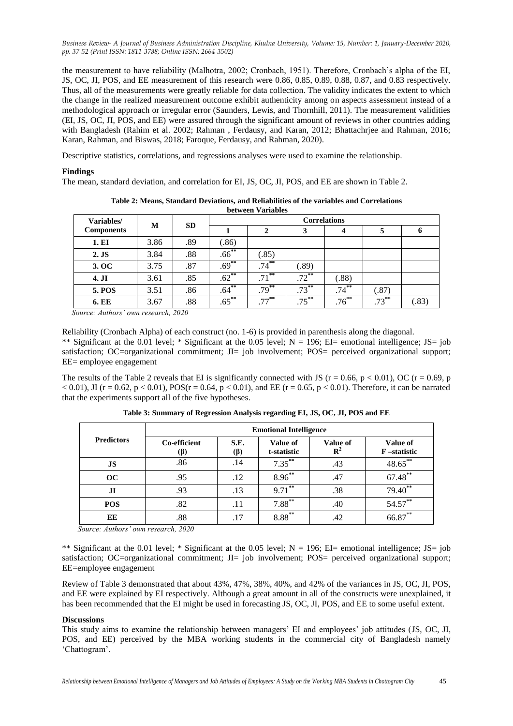the measurement to have reliability (Malhotra, 2002; Cronbach, 1951). Therefore, Cronbach"s alpha of the EI, JS, OC, JI, POS, and EE measurement of this research were 0.86, 0.85, 0.89, 0.88, 0.87, and 0.83 respectively. Thus, all of the measurements were greatly reliable for data collection. The validity indicates the extent to which the change in the realized measurement outcome exhibit authenticity among on aspects assessment instead of a methodological approach or irregular error (Saunders, Lewis, and Thornhill, 2011). The measurement validities (EI, JS, OC, JI, POS, and EE) were assured through the significant amount of reviews in other countries adding with Bangladesh (Rahim et al. 2002; Rahman, Ferdausy, and Karan, 2012; Bhattachriee and Rahman, 2016; Karan, Rahman, and Biswas, 2018; Faroque, Ferdausy, and Rahman, 2020).

Descriptive statistics, correlations, and regressions analyses were used to examine the relationship.

# **Findings**

The mean, standard deviation, and correlation for EI, JS, OC, JI, POS, and EE are shown in Table 2.

| Variables/        | M    | <b>SD</b> | <b>Correlations</b> |          |          |          |          |             |
|-------------------|------|-----------|---------------------|----------|----------|----------|----------|-------------|
| <b>Components</b> |      |           |                     |          | 3        |          |          | $\mathbf o$ |
| 1. EI             | 3.86 | .89       | (.86)               |          |          |          |          |             |
| $2.$ JS           | 3.84 | .88       | $.66^{**}$          | (.85)    |          |          |          |             |
| 3. OC             | 3.75 | .87       | $.69***$            | $.74***$ | (.89)    |          |          |             |
| 4. JI             | 3.61 | .85       | $.62***$            | $.71***$ | $.72***$ | (.88)    |          |             |
| <b>5. POS</b>     | 3.51 | .86       | $.64***$            | $.79***$ | $.73***$ | $.74***$ | (.87)    |             |
| <b>6. EE</b>      | 3.67 | .88       | $.65***$            | $.77***$ | $.75***$ | $.76***$ | $.73***$ | (.83)       |

**Table 2: Means, Standard Deviations, and Reliabilities of the variables and Correlations between Variables**

 *Source: Authors' own research, 2020*

Reliability (Cronbach Alpha) of each construct (no. 1-6) is provided in parenthesis along the diagonal. \*\* Significant at the 0.01 level; \* Significant at the 0.05 level;  $N = 196$ ; EI= emotional intelligence; JS= job satisfaction; OC=organizational commitment; JI= job involvement; POS= perceived organizational support; EE= employee engagement

The results of the Table 2 reveals that EI is significantly connected with JS ( $r = 0.66$ ,  $p < 0.01$ ), OC ( $r = 0.69$ , p  $< 0.01$ ), JI (r = 0.62, p < 0.01), POS(r = 0.64, p < 0.01), and EE (r = 0.65, p < 0.01). Therefore, it can be narrated that the experiments support all of the five hypotheses.

|                                              | <b>Emotional Intelligence</b> |             |                         |                                   |                         |  |
|----------------------------------------------|-------------------------------|-------------|-------------------------|-----------------------------------|-------------------------|--|
| <b>Predictors</b>                            | Co-efficient<br>(ß)           | S.E.<br>(ß) | Value of<br>t-statistic | <b>Value of</b><br>$\mathbb{R}^2$ | Value of<br>F-statistic |  |
| <b>JS</b>                                    | .86                           | .14         | $7.35***$               | .43                               | 48.65**                 |  |
| OC                                           | .95                           | .12         | $8.96***$               | .47                               | 67.48**                 |  |
| J <sub>I</sub>                               | .93                           | .13         | $9.71***$               | .38                               | 79.40**                 |  |
| <b>POS</b>                                   | .82                           | .11         | $7.88***$               | .40                               | 54.57**                 |  |
| EE<br>$\sim$ $\sim$ $\sim$<br><b>Service</b> | .88<br>.                      | .17         | $8.88***$               | .42                               | $66.87$ **              |  |

**Table 3: Summary of Regression Analysis regarding EI, JS, OC, JI, POS and EE**

 *Source: Authors' own research, 2020*

\*\* Significant at the 0.01 level; \* Significant at the 0.05 level;  $N = 196$ ; EI= emotional intelligence; JS= job satisfaction; OC=organizational commitment; JI= job involvement; POS= perceived organizational support; EE=employee engagement

Review of Table 3 demonstrated that about 43%, 47%, 38%, 40%, and 42% of the variances in JS, OC, JI, POS, and EE were explained by EI respectively. Although a great amount in all of the constructs were unexplained, it has been recommended that the EI might be used in forecasting JS, OC, JI, POS, and EE to some useful extent.

## **Discussions**

This study aims to examine the relationship between managers" EI and employees" job attitudes (JS, OC, JI, POS, and EE) perceived by the MBA working students in the commercial city of Bangladesh namely "Chattogram".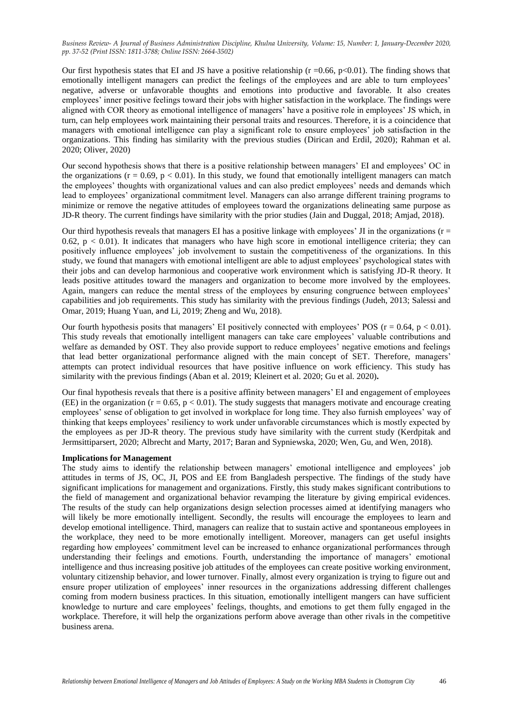Our first hypothesis states that EI and JS have a positive relationship ( $r = 0.66$ ,  $p < 0.01$ ). The finding shows that emotionally intelligent managers can predict the feelings of the employees and are able to turn employees' negative, adverse or unfavorable thoughts and emotions into productive and favorable. It also creates employees" inner positive feelings toward their jobs with higher satisfaction in the workplace. The findings were aligned with COR theory as emotional intelligence of managers' have a positive role in employees' JS which, in turn, can help employees work maintaining their personal traits and resources. Therefore, it is a coincidence that managers with emotional intelligence can play a significant role to ensure employees" job satisfaction in the organizations. This finding has similarity with the previous studies (Dirican and Erdil, 2020); Rahman et al. 2020; Oliver, 2020)

Our second hypothesis shows that there is a positive relationship between managers" EI and employees" OC in the organizations ( $r = 0.69$ ,  $p < 0.01$ ). In this study, we found that emotionally intelligent managers can match the employees" thoughts with organizational values and can also predict employees" needs and demands which lead to employees" organizational commitment level. Managers can also arrange different training programs to minimize or remove the negative attitudes of employees toward the organizations delineating same purpose as JD-R theory. The current findings have similarity with the prior studies (Jain and Duggal, 2018; Amjad, 2018).

Our third hypothesis reveals that managers EI has a positive linkage with employees' JI in the organizations  $(r =$ 0.62,  $p < 0.01$ ). It indicates that managers who have high score in emotional intelligence criteria; they can positively influence employees" job involvement to sustain the competitiveness of the organizations. In this study, we found that managers with emotional intelligent are able to adjust employees" psychological states with their jobs and can develop harmonious and cooperative work environment which is satisfying JD-R theory. It leads positive attitudes toward the managers and organization to become more involved by the employees. Again, mangers can reduce the mental stress of the employees by ensuring congruence between employees' capabilities and job requirements. This study has similarity with the previous findings (Judeh, 2013; Salessi and Omar, 2019; Huang Yuan, and Li, 2019; Zheng and Wu, 2018).

Our fourth hypothesis posits that managers' EI positively connected with employees' POS ( $r = 0.64$ ,  $p < 0.01$ ). This study reveals that emotionally intelligent managers can take care employees" valuable contributions and welfare as demanded by OST. They also provide support to reduce employees' negative emotions and feelings that lead better organizational performance aligned with the main concept of SET. Therefore, managers" attempts can protect individual resources that have positive influence on work efficiency. This study has similarity with the previous findings (Aban et al. 2019; Kleinert et al. 2020; Gu et al. 2020)**.** 

Our final hypothesis reveals that there is a positive affinity between managers" EI and engagement of employees (EE) in the organization ( $r = 0.65$ ,  $p < 0.01$ ). The study suggests that managers motivate and encourage creating employees' sense of obligation to get involved in workplace for long time. They also furnish employees' way of thinking that keeps employees" resiliency to work under unfavorable circumstances which is mostly expected by the employees as per JD-R theory. The previous study have similarity with the current study (Kerdpitak and Jermsittiparsert, 2020; Albrecht and Marty, 2017; Baran and Sypniewska, 2020; Wen, Gu, and Wen, 2018).

# **Implications for Management**

The study aims to identify the relationship between managers" emotional intelligence and employees" job attitudes in terms of JS, OC, JI, POS and EE from Bangladesh perspective. The findings of the study have significant implications for management and organizations. Firstly, this study makes significant contributions to the field of management and organizational behavior revamping the literature by giving empirical evidences. The results of the study can help organizations design selection processes aimed at identifying managers who will likely be more emotionally intelligent. Secondly, the results will encourage the employees to learn and develop emotional intelligence. Third, managers can realize that to sustain active and spontaneous employees in the workplace, they need to be more emotionally intelligent. Moreover, managers can get useful insights regarding how employees" commitment level can be increased to enhance organizational performances through understanding their feelings and emotions. Fourth, understanding the importance of managers" emotional intelligence and thus increasing positive job attitudes of the employees can create positive working environment, voluntary citizenship behavior, and lower turnover. Finally, almost every organization is trying to figure out and ensure proper utilization of employees" inner resources in the organizations addressing different challenges coming from modern business practices. In this situation, emotionally intelligent mangers can have sufficient knowledge to nurture and care employees" feelings, thoughts, and emotions to get them fully engaged in the workplace. Therefore, it will help the organizations perform above average than other rivals in the competitive business arena.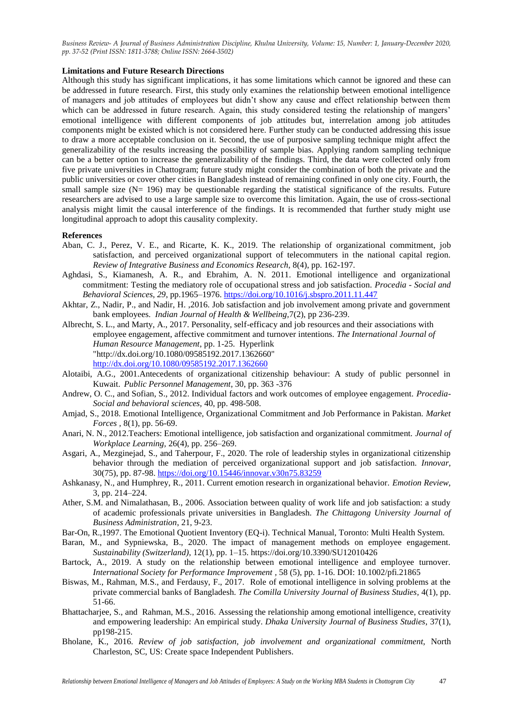# **Limitations and Future Research Directions**

Although this study has significant implications, it has some limitations which cannot be ignored and these can be addressed in future research. First, this study only examines the relationship between emotional intelligence of managers and job attitudes of employees but didn"t show any cause and effect relationship between them which can be addressed in future research. Again, this study considered testing the relationship of mangers' emotional intelligence with different components of job attitudes but, interrelation among job attitudes components might be existed which is not considered here. Further study can be conducted addressing this issue to draw a more acceptable conclusion on it. Second, the use of purposive sampling technique might affect the generalizability of the results increasing the possibility of sample bias. Applying random sampling technique can be a better option to increase the generalizability of the findings. Third, the data were collected only from five private universities in Chattogram; future study might consider the combination of both the private and the public universities or cover other cities in Bangladesh instead of remaining confined in only one city. Fourth, the small sample size  $(N= 196)$  may be questionable regarding the statistical significance of the results. Future researchers are advised to use a large sample size to overcome this limitation. Again, the use of cross-sectional analysis might limit the causal interference of the findings. It is recommended that further study might use longitudinal approach to adopt this causality complexity.

#### **References**

- Aban, C. J., Perez, V. E., and Ricarte, K. K., 2019. The relationship of organizational commitment, job satisfaction, and perceived organizational support of telecommuters in the national capital region. *Review of Integrative Business and Economics Research*, 8(4), pp. 162-197.
- Aghdasi, S., Kiamanesh, A. R., and Ebrahim, A. N. 2011. Emotional intelligence and organizational commitment: Testing the mediatory role of occupational stress and job satisfaction. *Procedia - Social and Behavioral Sciences*, *29*, pp.1965–1976.<https://doi.org/10.1016/j.sbspro.2011.11.447>
- Akhtar, Z., Nadir, P., and Nadir, H. ,2016. Job satisfaction and job involvement among private and government bank employees. *Indian Journal of Health & Wellbeing,*7(2), pp 236-239.
- Albrecht, S. L., and Marty, A., 2017. Personality, self-efficacy and job resources and their associations with employee engagement, affective commitment and turnover intentions. *The International Journal of Human Resource Management*, pp. 1-25. Hyperlink "http://dx.doi.org/10.1080/09585192.2017.1362660" http://dx.doi.org/10.1080/09585192.2017.1362660
- Alotaibi, A.G., 2001.Antecedents of organizational citizenship behaviour: A study of public personnel in Kuwait. *Public Personnel Management*, 30, pp. 363 -376
- Andrew, O. C., and Sofian, S., 2012. Individual factors and work outcomes of employee engagement. *Procedia-Social and behavioral sciences,* 40, pp. 498-508.
- Amjad, S., 2018. Emotional Intelligence, Organizational Commitment and Job Performance in Pakistan. *Market Forces ,* 8(1), pp. 56-69.
- Anari, N. N., 2012.Teachers: Emotional intelligence, job satisfaction and organizational commitment. *Journal of Workplace Learning,* 26(4), pp. 256–269.
- Asgari, A., Mezginejad, S., and Taherpour, F., 2020. The role of leadership styles in organizational citizenship behavior through the mediation of perceived organizational support and job satisfaction. *Innovar,*  30(75), pp. 87-98. https://doi.org/10.15446/innovar.v30n75.83259
- Ashkanasy, N., and Humphrey, R., 2011. Current emotion research in organizational behavior. *Emotion Review,*  3, pp. 214–224.
- Ather, S.M. and Nimalathasan, B., 2006. Association between quality of work life and job satisfaction: a study of academic professionals private universities in Bangladesh. *The Chittagong University Journal of Business Administration*, 21, 9-23.
- Bar-On, R.,1997. The Emotional Quotient Inventory (EQ-i). Technical Manual, Toronto: Multi Health System.
- Baran, M., and Sypniewska, B., 2020. The impact of management methods on employee engagement. *Sustainability (Switzerland)*, 12(1), pp. 1–15. https://doi.org/10.3390/SU12010426
- Bartock, A., 2019. A study on the relationship between emotional intelligence and employee turnover. *International Society for Performance Improvement ,* 58 (5), pp. 1-16. DOI: 10.1002/pfi.21865
- Biswas, M., Rahman, M.S., and Ferdausy, F., 2017. Role of emotional intelligence in solving problems at the private commercial banks of Bangladesh. *The Comilla University Journal of Business Studies,* 4(1), pp. 51-66.
- Bhattacharjee, S., and Rahman, M.S., 2016. Assessing the relationship among emotional intelligence, creativity and empowering leadership: An empirical study. *Dhaka University Journal of Business Studies*, 37(1), pp198-215.
- Bholane, K., 2016. *Review of job satisfaction, job involvement and organizational commitment,* North Charleston, SC, US: Create space Independent Publishers.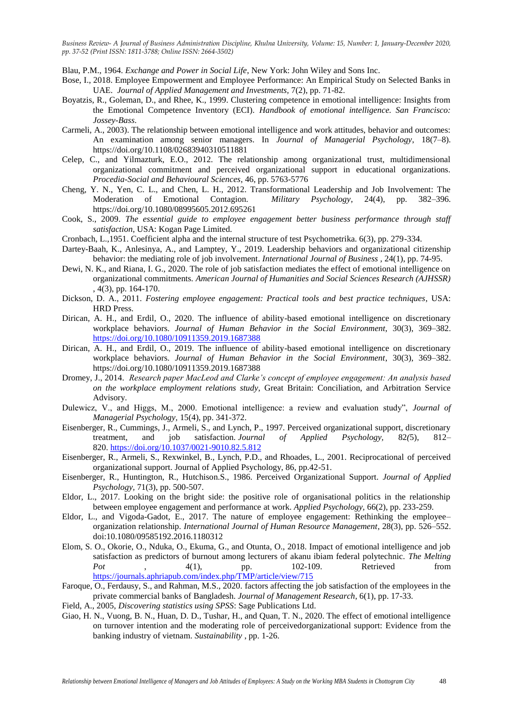Blau, P.M., 1964. *Exchange and Power in Social Life*, New York: John Wiley and Sons Inc.

- Bose, I., 2018. Employee Empowerment and Employee Performance: An Empirical Study on Selected Banks in UAE. *Journal of Applied Management and Investments,* 7(2), pp. 71-82.
- Boyatzis, R., Goleman, D., and Rhee, K., 1999. Clustering competence in emotional intelligence: Insights from the Emotional Competence Inventory (ECI). *Handbook of emotional intelligence. San Francisco: Jossey-Bass*.
- Carmeli, A., 2003). The relationship between emotional intelligence and work attitudes, behavior and outcomes: An examination among senior managers. In *Journal of Managerial Psychology*, 18(7–8). https://doi.org/10.1108/02683940310511881
- Celep, C., and Yilmazturk, E.O., 2012. The relationship among organizational trust, multidimensional organizational commitment and perceived organizational support in educational organizations. *Procedia-Social and Behavioural Sciences*, 46, pp. 5763-5776
- Cheng, Y. N., Yen, C. L., and Chen, L. H., 2012. Transformational Leadership and Job Involvement: The Moderation of Emotional Contagion. *Military Psychology*, 24(4), pp. 382–396. https://doi.org/10.1080/08995605.2012.695261
- Cook, S., 2009. *The essential guide to employee engagement better business performance through staff satisfaction*, USA: Kogan Page Limited.
- Cronbach, L.,1951. Coefficient alpha and the internal structure of test Psychometrika. 6(3), pp. 279-334.
- Dartey-Baah, K., Anlesinya, A., and Lamptey, Y., 2019. Leadership behaviors and organizational citizenship behavior: the mediating role of job involvement. *International Journal of Business ,* 24(1), pp. 74-95.
- Dewi, N. K., and Riana, I. G., 2020. The role of job satisfaction mediates the effect of emotional intelligence on organizational commitments. *American Journal of Humanities and Social Sciences Research (AJHSSR)* , 4(3), pp. 164-170.
- Dickson, D. A., 2011. *Fostering employee engagement: Practical tools and best practice techniques*, USA: HRD Press.
- Dirican, A. H., and Erdil, O., 2020. The influence of ability-based emotional intelligence on discretionary workplace behaviors. *Journal of Human Behavior in the Social Environment*, 30(3), 369–382. <https://doi.org/10.1080/10911359.2019.1687388>
- Dirican, A. H., and Erdil, O., 2019. The influence of ability-based emotional intelligence on discretionary workplace behaviors. *Journal of Human Behavior in the Social Environment*, 30(3), 369–382. https://doi.org/10.1080/10911359.2019.1687388
- Dromey, J., 2014. *Research paper MacLeod and Clarke's concept of employee engagement: An analysis based on the workplace employment relations study,* Great Britain: Conciliation, and Arbitration Service Advisory.
- Dulewicz, V., and Higgs, M., 2000. Emotional intelligence: a review and evaluation study", *Journal of Managerial Psychology,* 15(4), pp. 341-372.
- Eisenberger, R., Cummings, J., Armeli, S., and Lynch, P., 1997. Perceived organizational support, discretionary treatment, and job satisfaction. *Journal of Applied Psychology,* 82*(*5), 812– 820. [https://doi.org/10.1037/0021-9010.82.5.812](https://psycnet.apa.org/doi/10.1037/0021-9010.82.5.812)
- Eisenberger, R., Armeli, S., Rexwinkel, B., Lynch, P.D., and Rhoades, L., 2001. Reciprocational of perceived organizational support. Journal of Applied Psychology, 86, pp.42-51.
- Eisenberger, R., Huntington, R., Hutchison.S., 1986. Perceived Organizational Support. *Journal of Applied Psychology,* 71(3), pp. 500-507.
- Eldor, L., 2017. Looking on the bright side: the positive role of organisational politics in the relationship between employee engagement and performance at work. *Applied Psychology,* 66(2), pp. 233-259.
- Eldor, L., and Vigoda-Gadot, E., 2017. The nature of employee engagement: Rethinking the employee– organization relationship. *International Journal of Human Resource Management*, 28(3), pp. 526–552. doi:10.1080/09585192.2016.1180312
- Elom, S. O., Okorie, O., Nduka, O., Ekuma, G., and Otunta, O., 2018. Impact of emotional intelligence and job satisfaction as predictors of burnout among lecturers of akanu ibiam federal polytechnic. *The Melting Pot* , 4(1), pp. 102-109. Retrieved from https://journals.aphriapub.com/index.php/TMP/article/view/715
- Faroque, O., Ferdausy, S., and Rahman, M.S., 2020. factors affecting the job satisfaction of the employees in the private commercial banks of Bangladesh. *Journal of Management Research*, 6(1), pp. 17-33.
- Field, A., 2005, *Discovering statistics using SPSS*: Sage Publications Ltd.
- Giao, H. N., Vuong, B. N., Huan, D. D., Tushar, H., and Quan, T. N., 2020. The effect of emotional intelligence on turnover intention and the moderating role of perceivedorganizational support: Evidence from the banking industry of vietnam. *Sustainability* , pp. 1-26.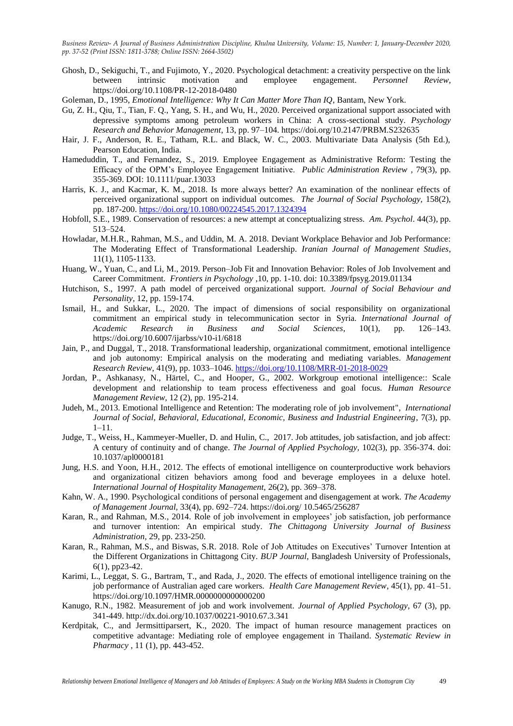- Ghosh, D., Sekiguchi, T., and Fujimoto, Y., 2020. Psychological detachment: a creativity perspective on the link between intrinsic motivation and employee engagement. *Personnel Review*, https://doi.org/10.1108/PR-12-2018-0480
- Goleman, D., 1995, *Emotional Intelligence: Why It Can Matter More Than IQ*, Bantam, New York.
- Gu, Z. H., Qiu, T., Tian, F. Q., Yang, S. H., and Wu, H., 2020. Perceived organizational support associated with depressive symptoms among petroleum workers in China: A cross-sectional study. *Psychology Research and Behavior Management*, 13, pp. 97–104. https://doi.org/10.2147/PRBM.S232635
- Hair, J. F., Anderson, R. E., Tatham, R.L. and Black, W. C., 2003. Multivariate Data Analysis (5th Ed.), Pearson Education, India.
- Hameduddin, T., and Fernandez, S., 2019. Employee Engagement as Administrative Reform: Testing the Efficacy of the OPM"s Employee Engagement Initiative. *Public Administration Review ,* 79(3), pp. 355-369. DOI: 10.1111/puar.13033
- Harris, K. J., and Kacmar, K. M., 2018. Is more always better? An examination of the nonlinear effects of perceived organizational support on individual outcomes. *The Journal of Social Psychology,* 158(2), pp. 187-200. https://doi.org/10.1080/00224545.2017.1324394
- Hobfoll, S.E., 1989. Conservation of resources: a new attempt at conceptualizing stress. *Am. Psychol*. 44(3), pp. 513–524.
- Howladar, M.H.R., Rahman, M.S., and Uddin, M. A. 2018. Deviant Workplace Behavior and Job Performance: The Moderating Effect of Transformational Leadership. *Iranian Journal of Management Studies*, 11(1), 1105-1133.
- Huang, W., Yuan, C., and Li, M., 2019. Person–Job Fit and Innovation Behavior: Roles of Job Involvement and Career Commitment. *Frontiers in Psychology ,*10, pp. 1-10. doi: 10.3389/fpsyg.2019.01134
- Hutchison, S., 1997. A path model of perceived organizational support. *Journal of Social Behaviour and Personality*, 12, pp. 159-174.
- Ismail, H., and Sukkar, L., 2020. The impact of dimensions of social responsibility on organizational commitment an empirical study in telecommunication sector in Syria. *International Journal of Academic Research in Business and Social Sciences*, 10(1), pp. 126–143. https://doi.org/10.6007/ijarbss/v10-i1/6818
- Jain, P., and Duggal, T., 2018. Transformational leadership, organizational commitment, emotional intelligence and job autonomy: Empirical analysis on the moderating and mediating variables. *Management Research Review*, 41(9), pp. 1033–1046.<https://doi.org/10.1108/MRR-01-2018-0029>
- Jordan, P., Ashkanasy, N., Härtel, C., and Hooper, G., 2002. Workgroup emotional intelligence:: Scale development and relationship to team process effectiveness and goal focus. *Human Resource Management Review,* 12 (2), pp. 195-214.
- Judeh, M., 2013. Emotional Intelligence and Retention: The moderating role of job involvement", *International Journal of Social, Behavioral, Educational, Economic, Business and Industrial Engineering*, 7(3), pp. 1–11.
- Judge, T., Weiss, H., Kammeyer-Mueller, D. and Hulin, C., 2017. Job attitudes, job satisfaction, and job affect: A century of continuity and of change. *The Journal of Applied Psychology,* 102(3), pp. 356-374. doi: 10.1037/apl0000181
- Jung, H.S. and Yoon, H.H., 2012. The effects of emotional intelligence on counterproductive work behaviors and organizational citizen behaviors among food and beverage employees in a deluxe hotel. *International Journal of Hospitality Management,* 26(2), pp. 369–378.
- Kahn, W. A., 1990. Psychological conditions of personal engagement and disengagement at work. *The Academy of Management Journal,* 33(4), pp. 692–724. https://doi.org/ 10.5465/256287
- Karan, R., and Rahman, M.S., 2014. Role of job involvement in employees" job satisfaction, job performance and turnover intention: An empirical study. *The Chittagong University Journal of Business Administration,* 29, pp. 233-250.
- Karan, R., Rahman, M.S., and Biswas, S.R. 2018. Role of Job Attitudes on Executives" Turnover Intention at the Different Organizations in Chittagong City. *BUP Journal*, Bangladesh University of Professionals, 6(1), pp23-42.
- Karimi, L., Leggat, S. G., Bartram, T., and Rada, J., 2020. The effects of emotional intelligence training on the job performance of Australian aged care workers. *Health Care Management Review*, 45(1), pp. 41–51. https://doi.org/10.1097/HMR.0000000000000200
- Kanugo, R.N., 1982. Measurement of job and work involvement. *Journal of Applied Psychology*, 67 (3), pp. 341-449. http://dx.doi.org/10.1037/00221-9010.67.3.341
- Kerdpitak, C., and Jermsittiparsert, K., 2020. The impact of human resource management practices on competitive advantage: Mediating role of employee engagement in Thailand. *Systematic Review in Pharmacy* , 11 (1), pp. 443-452.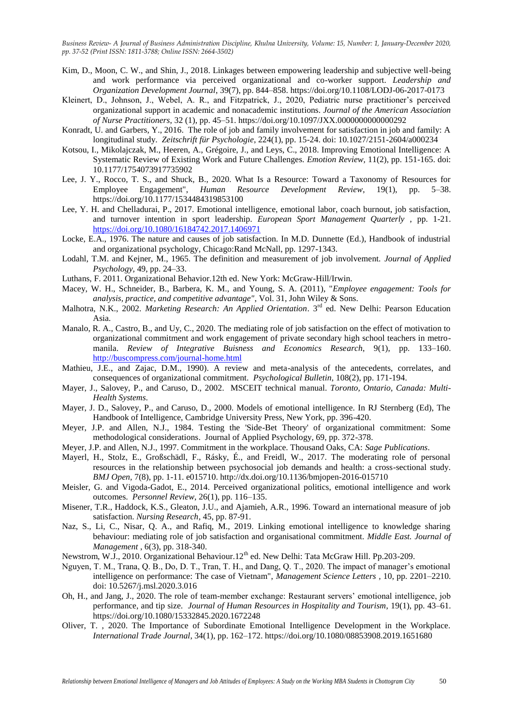- Kim, D., Moon, C. W., and Shin, J., 2018. Linkages between empowering leadership and subjective well-being and work performance via perceived organizational and co-worker support. *Leadership and Organization Development Journal*, 39(7), pp. 844–858. https://doi.org/10.1108/LODJ-06-2017-0173
- Kleinert, D., Johnson, J., Webel, A. R., and Fitzpatrick, J., 2020, Pediatric nurse practitioner's perceived organizational support in academic and nonacademic institutions. *Journal of the American Association of Nurse Practitioners*, 32 (1), pp. 45–51. https://doi.org/10.1097/JXX.0000000000000292
- Konradt, U. and Garbers, Y., 2016. The role of job and family involvement for satisfaction in job and family: A longitudinal study. *Zeitschrift für Psychologie*, 224(1), pp. 15-24. doi: 10.1027/2151-2604/a000234
- Kotsou, I., Mikolajczak, M., Heeren, A., Grégoire, J., and Leys, C., 2018. Improving Emotional Intelligence: A Systematic Review of Existing Work and Future Challenges. *Emotion Review,* 11(2), pp. 151-165. doi: 10.1177/1754073917735902
- Lee, J. Y., Rocco, T. S., and Shuck, B., 2020. What Is a Resource: Toward a Taxonomy of Resources for Employee Engagement", *Human Resource Development Review*, 19(1), pp. 5–38. https://doi.org/10.1177/1534484319853100
- Lee, Y. H. and Chelladurai, P., 2017. Emotional intelligence, emotional labor, coach burnout, job satisfaction, and turnover intention in sport leadership. *European Sport Management Quarterly* , pp. 1-21. https://doi.org/10.1080/16184742.2017.1406971
- Locke, E.A., 1976. The nature and causes of job satisfaction. In M.D. Dunnette (Ed.), Handbook of industrial and organizational psychology, Chicago:Rand McNall, pp. 1297-1343.
- Lodahl, T.M. and Kejner, M., 1965. The definition and measurement of job involvement. *Journal of Applied Psychology,* 49, pp. 24–33.
- Luthans, F. 2011. Organizational Behavior.12th ed. New York: McGraw-Hill/Irwin.
- Macey, W. H., Schneider, B., Barbera, K. M., and Young, S. A. (2011), "*Employee engagement: Tools for analysis, practice, and competitive advantage"*, Vol. 31, John Wiley & Sons.
- Malhotra, N.K., 2002. *Marketing Research: An Applied Orientation*. 3rd ed. New Delhi: Pearson Education Asia.
- Manalo, R. A., Castro, B., and Uy, C., 2020. The mediating role of job satisfaction on the effect of motivation to organizational commitment and work engagement of private secondary high school teachers in metromanila. *Review of Integrative Buisness and Economics Research*, 9(1), pp. 133–160. <http://buscompress.com/journal-home.html>
- Mathieu, J.E., and Zajac, D.M., 1990). A review and meta-analysis of the antecedents, correlates, and consequences of organizational commitment. *Psychological Bulletin*, 108(2), pp. 171-194.
- Mayer, J., Salovey, P., and Caruso, D., 2002. MSCEIT technical manual. *Toronto, Ontario, Canada: Multi-Health Systems*.
- Mayer, J. D., Salovey, P., and Caruso, D., 2000. Models of emotional intelligence. In RJ Sternberg (Ed), The Handbook of Intelligence, Cambridge University Press, New York, pp. 396-420.
- Meyer, J.P. and Allen, N.J., 1984. Testing the 'Side-Bet Theory' of organizational commitment: Some methodological considerations. Journal of Applied Psychology, 69, pp. 372-378.
- Meyer, J.P. and Allen, N.J., 1997. Commitment in the workplace. Thousand Oaks, CA: *Sage Publications*.
- Mayerl, H., Stolz, E., Großschädl, F., Rásky, É., and Freidl, W., 2017. The moderating role of personal resources in the relationship between psychosocial job demands and health: a cross-sectional study. *BMJ Open,* 7(8), pp. 1-11. e015710. http://dx.doi.org/10.1136/bmjopen-2016-015710
- Meisler, G. and Vigoda-Gadot, E., 2014. Perceived organizational politics, emotional intelligence and work outcomes. *Personnel Review*, 26(1), pp. 116–135.
- Misener, T.R., Haddock, K.S., Gleaton, J.U., and Ajamieh, A.R., 1996. Toward an international measure of job satisfaction. *Nursing Research*, 45, pp. 87-91.
- Naz, S., Li, C., Nisar, Q. A., and Rafiq, M., 2019. Linking emotional intelligence to knowledge sharing behaviour: mediating role of job satisfaction and organisational commitment. *Middle East. Journal of Management* , 6(3), pp. 318-340.
- Newstrom, W.J., 2010. Organizational Behaviour.12<sup>th</sup> ed. New Delhi: Tata McGraw Hill. Pp.203-209.
- Nguyen, T. M., Trana, Q. B., Do, D. T., Tran, T. H., and Dang, Q. T., 2020. The impact of manager"s emotional intelligence on performance: The case of Vietnam", *Management Science Letters ,* 10, pp. 2201–2210. doi: 10.5267/j.msl.2020.3.016
- Oh, H., and Jang, J., 2020. The role of team-member exchange: Restaurant servers" emotional intelligence, job performance, and tip size. *Journal of Human Resources in Hospitality and Tourism*, 19(1), pp. 43–61. https://doi.org/10.1080/15332845.2020.1672248
- Oliver, T. , 2020. The Importance of Subordinate Emotional Intelligence Development in the Workplace. *International Trade Journal*, 34(1), pp. 162–172. https://doi.org/10.1080/08853908.2019.1651680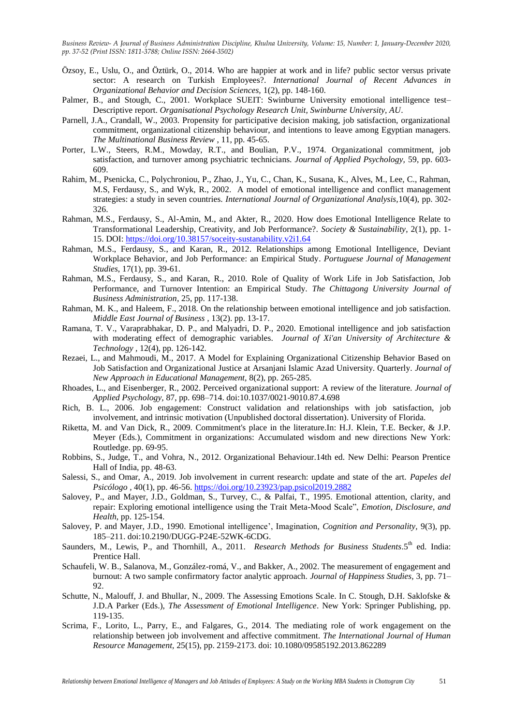- Özsoy, E., Uslu, O., and Öztürk, O., 2014. Who are happier at work and in life? public sector versus private sector: A research on Turkish Employees?. *International Journal of Recent Advances in Organizational Behavior and Decision Sciences,* 1(2), pp. 148-160.
- Palmer, B., and Stough, C., 2001. Workplace SUEIT: Swinburne University emotional intelligence test– Descriptive report. *Organisational Psychology Research Unit, Swinburne University, AU*.
- Parnell, J.A., Crandall, W., 2003. Propensity for participative decision making, job satisfaction, organizational commitment, organizational citizenship behaviour, and intentions to leave among Egyptian managers. *The Multinational Business Review* , 11, pp. 45-65.
- Porter, L.W., Steers, R.M., Mowday, R.T., and Boulian, P.V., 1974. Organizational commitment, job satisfaction, and turnover among psychiatric technicians. *Journal of Applied Psychology,* 59, pp. 603- 609.
- Rahim, M., Psenicka, C., Polychroniou, P., Zhao, J., Yu, C., Chan, K., Susana, K., Alves, M., Lee, C., Rahman, M.S, Ferdausy, S., and Wyk, R., 2002. A model of emotional intelligence and conflict management strategies: a study in seven countries. *International Journal of Organizational Analysis,*10(4), pp. 302- 326.
- Rahman, M.S., Ferdausy, S., Al-Amin, M., and Akter, R., 2020. How does Emotional Intelligence Relate to Transformational Leadership, Creativity, and Job Performance?. *Society & Sustainability*, 2(1), pp. 1- 15. DOI:<https://doi.org/10.38157/soceity-sustanability.v2i1.64>
- Rahman, M.S., Ferdausy, S., and Karan, R., 2012. Relationships among Emotional Intelligence, Deviant Workplace Behavior, and Job Performance: an Empirical Study. *Portuguese Journal of Management Studies*, 17(1), pp. 39-61.
- Rahman, M.S., Ferdausy, S., and Karan, R., 2010. Role of Quality of Work Life in Job Satisfaction, Job Performance, and Turnover Intention: an Empirical Study. *The Chittagong University Journal of Business Administration,* 25, pp. 117-138.
- Rahman, M. K., and Haleem, F., 2018. On the relationship between emotional intelligence and job satisfaction. *Middle East Journal of Business ,* 13(2). pp. 13-17.
- Ramana, T. V., Varaprabhakar, D. P., and Malyadri, D. P., 2020. Emotional intelligence and job satisfaction with moderating effect of demographic variables. *Journal of Xi'an University of Architecture & Technology ,* 12(4), pp. 126-142.
- Rezaei, L., and Mahmoudi, M., 2017. A Model for Explaining Organizational Citizenship Behavior Based on Job Satisfaction and Organizational Justice at Arsanjani Islamic Azad University. Quarterly. *Journal of New Approach in Educational Management,* 8(2), pp. 265-285.
- Rhoades, L., and Eisenberger, R., 2002. Perceived organizational support: A review of the literature*. Journal of Applied Psychology,* 87, pp. 698–714. doi:10.1037/0021-9010.87.4.698
- Rich, B. L., 2006. Job engagement: Construct validation and relationships with job satisfaction, job involvement, and intrinsic motivation (Unpublished doctoral dissertation). University of Florida.
- Riketta, M. and Van Dick, R., 2009. Commitment's place in the literature.In: H.J. Klein, T.E. Becker, & J.P. Meyer (Eds.), Commitment in organizations: Accumulated wisdom and new directions New York: Routledge. pp. 69-95.
- Robbins, S., Judge, T., and Vohra, N., 2012. Organizational Behaviour.14th ed. New Delhi: Pearson Prentice Hall of India, pp. 48-63.
- Salessi, S., and Omar, A., 2019. Job involvement in current research: update and state of the art. *Papeles del Psicólogo ,* 40(1), pp. 46-56[. https://doi.org/10.23923/pap.psicol2019.2882](https://doi.org/10.23923/pap.psicol2019.2882)
- Salovey, P., and Mayer, J.D., Goldman, S., Turvey, C., & Palfai, T., 1995. Emotional attention, clarity, and repair: Exploring emotional intelligence using the Trait Meta-Mood Scale", *Emotion, Disclosure, and Health*, pp. 125-154.
- Salovey, P. and Mayer, J.D., 1990. Emotional intelligence', Imagination, *Cognition and Personality*, 9(3), pp. 185–211. doi:10.2190/DUGG-P24E-52WK-6CDG.
- Saunders, M., Lewis, P., and Thornhill, A., 2011. *Research Methods for Business Students*.5<sup>th</sup> ed. India: Prentice Hall.
- Schaufeli, W. B., Salanova, M., González-romá, V., and Bakker, A., 2002. The measurement of engagement and burnout: A two sample confirmatory factor analytic approach. *Journal of Happiness Studies,* 3, pp. 71– 92.
- Schutte, N., Malouff, J. and Bhullar, N., 2009. The Assessing Emotions Scale. In C. Stough, D.H. Saklofske & J.D.A Parker (Eds.), *The Assessment of Emotional Intelligence*. New York: Springer Publishing, pp. 119-135.
- Scrima, F., Lorito, L., Parry, E., and Falgares, G., 2014. The mediating role of work engagement on the relationship between job involvement and affective commitment. *The International Journal of Human Resource Management,* 25(15), pp. 2159-2173. doi: 10.1080/09585192.2013.862289